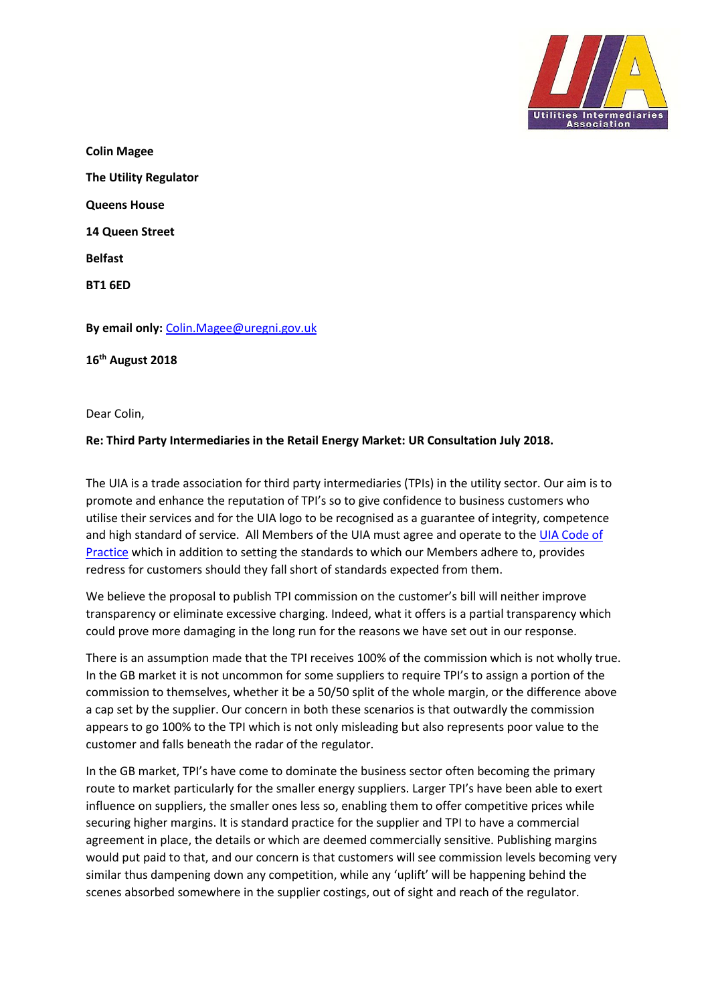

**Colin Magee The Utility Regulator Queens House 14 Queen Street Belfast BT1 6ED** 

**By email only:** [Colin.Magee@uregni.gov.uk](mailto:Colin.Magee@uregni.gov.uk)

**16th August 2018**

Dear Colin,

## **Re: Third Party Intermediaries in the Retail Energy Market: UR Consultation July 2018.**

The UIA is a trade association for third party intermediaries (TPIs) in the utility sector. Our aim is to promote and enhance the reputation of TPI's so to give confidence to business customers who utilise their services and for the UIA logo to be recognised as a guarantee of integrity, competence and high standard of service. All Members of the UIA must agree and operate to the [UIA Code of](http://www.uia.org.uk/code_of_practice.htm)  [Practice](http://www.uia.org.uk/code_of_practice.htm) which in addition to setting the standards to which our Members adhere to, provides redress for customers should they fall short of standards expected from them.

We believe the proposal to publish TPI commission on the customer's bill will neither improve transparency or eliminate excessive charging. Indeed, what it offers is a partial transparency which could prove more damaging in the long run for the reasons we have set out in our response.

There is an assumption made that the TPI receives 100% of the commission which is not wholly true. In the GB market it is not uncommon for some suppliers to require TPI's to assign a portion of the commission to themselves, whether it be a 50/50 split of the whole margin, or the difference above a cap set by the supplier. Our concern in both these scenarios is that outwardly the commission appears to go 100% to the TPI which is not only misleading but also represents poor value to the customer and falls beneath the radar of the regulator.

In the GB market, TPI's have come to dominate the business sector often becoming the primary route to market particularly for the smaller energy suppliers. Larger TPI's have been able to exert influence on suppliers, the smaller ones less so, enabling them to offer competitive prices while securing higher margins. It is standard practice for the supplier and TPI to have a commercial agreement in place, the details or which are deemed commercially sensitive. Publishing margins would put paid to that, and our concern is that customers will see commission levels becoming very similar thus dampening down any competition, while any 'uplift' will be happening behind the scenes absorbed somewhere in the supplier costings, out of sight and reach of the regulator.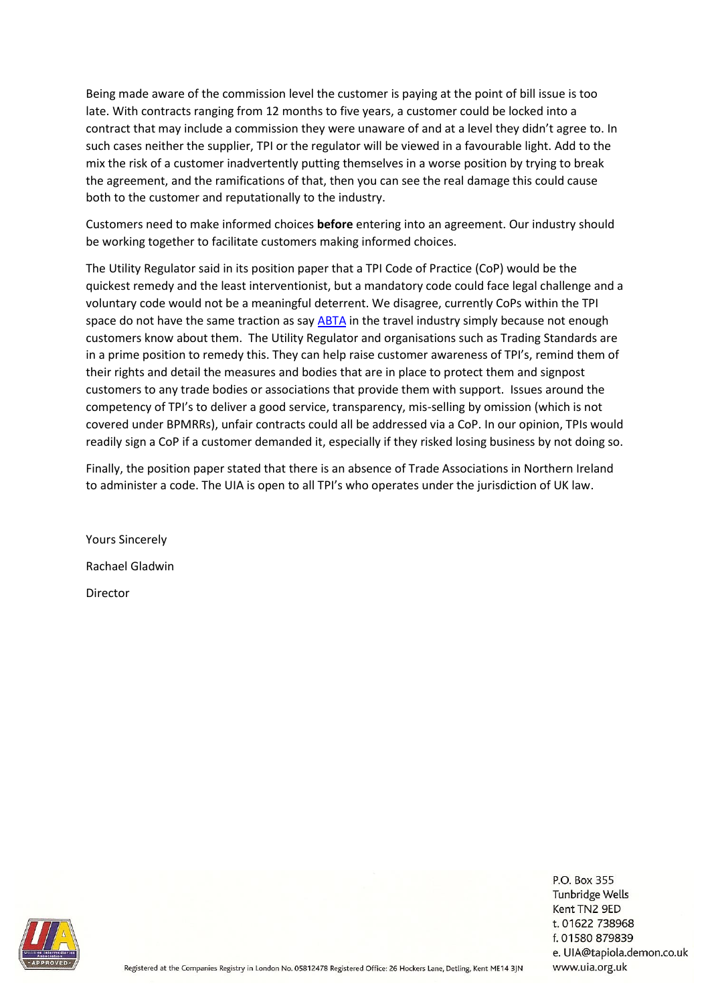Being made aware of the commission level the customer is paying at the point of bill issue is too late. With contracts ranging from 12 months to five years, a customer could be locked into a contract that may include a commission they were unaware of and at a level they didn't agree to. In such cases neither the supplier, TPI or the regulator will be viewed in a favourable light. Add to the mix the risk of a customer inadvertently putting themselves in a worse position by trying to break the agreement, and the ramifications of that, then you can see the real damage this could cause both to the customer and reputationally to the industry.

Customers need to make informed choices **before** entering into an agreement. Our industry should be working together to facilitate customers making informed choices.

The Utility Regulator said in its position paper that a TPI Code of Practice (CoP) would be the quickest remedy and the least interventionist, but a mandatory code could face legal challenge and a voluntary code would not be a meaningful deterrent. We disagree, currently CoPs within the TPI space do not have the same traction as say [ABTA](https://abta.com/about-us/who-we-are) in the travel industry simply because not enough customers know about them. The Utility Regulator and organisations such as Trading Standards are in a prime position to remedy this. They can help raise customer awareness of TPI's, remind them of their rights and detail the measures and bodies that are in place to protect them and signpost customers to any trade bodies or associations that provide them with support. Issues around the competency of TPI's to deliver a good service, transparency, mis-selling by omission (which is not covered under BPMRRs), unfair contracts could all be addressed via a CoP. In our opinion, TPIs would readily sign a CoP if a customer demanded it, especially if they risked losing business by not doing so.

Finally, the position paper stated that there is an absence of Trade Associations in Northern Ireland to administer a code. The UIA is open to all TPI's who operates under the jurisdiction of UK law.

Yours Sincerely Rachael Gladwin Director



P.O. Box 355 Tunbridge Wells Kent TN2 9ED t. 01622 738968 f. 01580 879839 e. UIA@tapiola.demon.co.uk www.uia.org.uk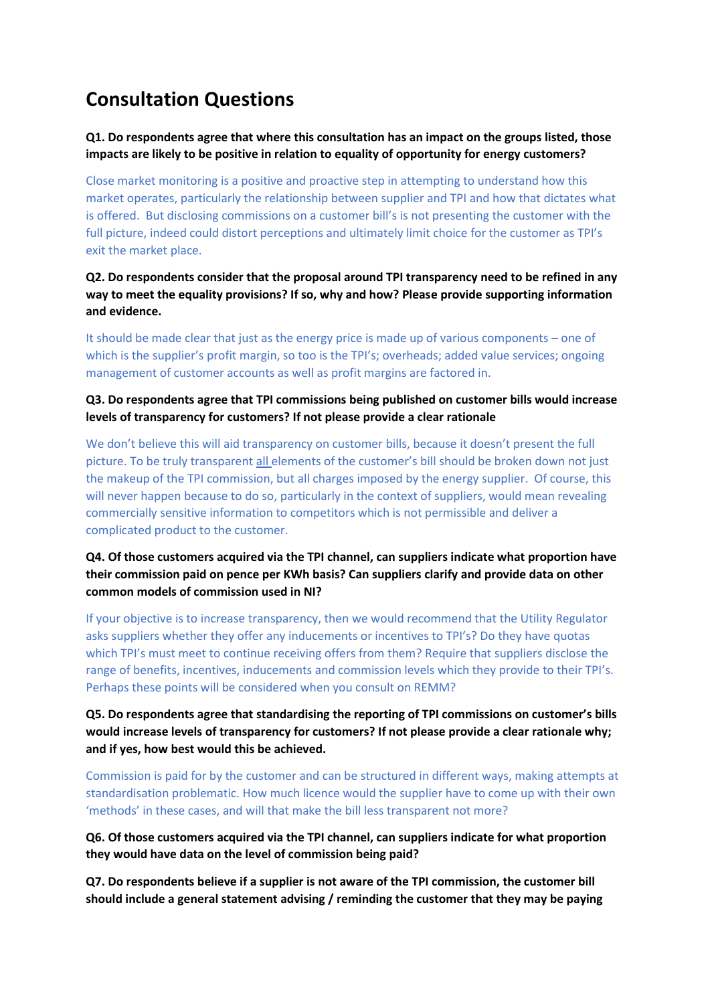# **Consultation Questions**

**Q1. Do respondents agree that where this consultation has an impact on the groups listed, those impacts are likely to be positive in relation to equality of opportunity for energy customers?** 

Close market monitoring is a positive and proactive step in attempting to understand how this market operates, particularly the relationship between supplier and TPI and how that dictates what is offered. But disclosing commissions on a customer bill's is not presenting the customer with the full picture, indeed could distort perceptions and ultimately limit choice for the customer as TPI's exit the market place.

**Q2. Do respondents consider that the proposal around TPI transparency need to be refined in any way to meet the equality provisions? If so, why and how? Please provide supporting information and evidence.**

It should be made clear that just as the energy price is made up of various components – one of which is the supplier's profit margin, so too is the TPI's; overheads; added value services; ongoing management of customer accounts as well as profit margins are factored in.

## **Q3. Do respondents agree that TPI commissions being published on customer bills would increase levels of transparency for customers? If not please provide a clear rationale**

We don't believe this will aid transparency on customer bills, because it doesn't present the full picture. To be truly transparent all elements of the customer's bill should be broken down not just the makeup of the TPI commission, but all charges imposed by the energy supplier. Of course, this will never happen because to do so, particularly in the context of suppliers, would mean revealing commercially sensitive information to competitors which is not permissible and deliver a complicated product to the customer.

## **Q4. Of those customers acquired via the TPI channel, can suppliers indicate what proportion have their commission paid on pence per KWh basis? Can suppliers clarify and provide data on other common models of commission used in NI?**

If your objective is to increase transparency, then we would recommend that the Utility Regulator asks suppliers whether they offer any inducements or incentives to TPI's? Do they have quotas which TPI's must meet to continue receiving offers from them? Require that suppliers disclose the range of benefits, incentives, inducements and commission levels which they provide to their TPI's. Perhaps these points will be considered when you consult on REMM?

## **Q5. Do respondents agree that standardising the reporting of TPI commissions on customer's bills would increase levels of transparency for customers? If not please provide a clear rationale why; and if yes, how best would this be achieved.**

Commission is paid for by the customer and can be structured in different ways, making attempts at standardisation problematic. How much licence would the supplier have to come up with their own 'methods' in these cases, and will that make the bill less transparent not more?

## **Q6. Of those customers acquired via the TPI channel, can suppliers indicate for what proportion they would have data on the level of commission being paid?**

**Q7. Do respondents believe if a supplier is not aware of the TPI commission, the customer bill should include a general statement advising / reminding the customer that they may be paying**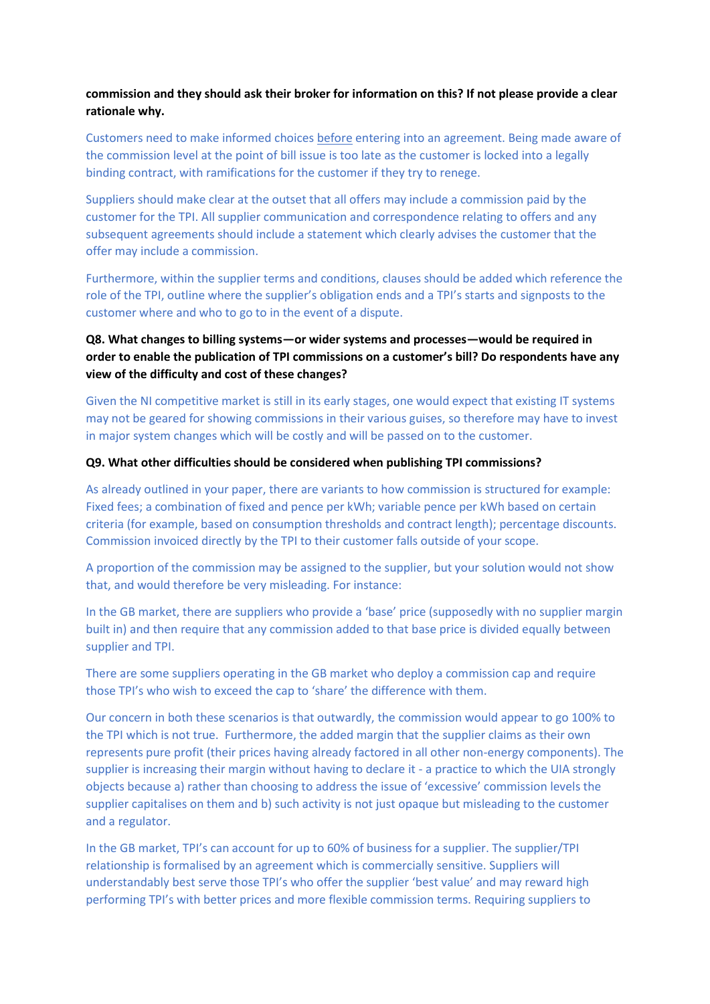## **commission and they should ask their broker for information on this? If not please provide a clear rationale why.**

Customers need to make informed choices before entering into an agreement. Being made aware of the commission level at the point of bill issue is too late as the customer is locked into a legally binding contract, with ramifications for the customer if they try to renege.

Suppliers should make clear at the outset that all offers may include a commission paid by the customer for the TPI. All supplier communication and correspondence relating to offers and any subsequent agreements should include a statement which clearly advises the customer that the offer may include a commission.

Furthermore, within the supplier terms and conditions, clauses should be added which reference the role of the TPI, outline where the supplier's obligation ends and a TPI's starts and signposts to the customer where and who to go to in the event of a dispute.

## **Q8. What changes to billing systems—or wider systems and processes—would be required in order to enable the publication of TPI commissions on a customer's bill? Do respondents have any view of the difficulty and cost of these changes?**

Given the NI competitive market is still in its early stages, one would expect that existing IT systems may not be geared for showing commissions in their various guises, so therefore may have to invest in major system changes which will be costly and will be passed on to the customer.

#### **Q9. What other difficulties should be considered when publishing TPI commissions?**

As already outlined in your paper, there are variants to how commission is structured for example: Fixed fees; a combination of fixed and pence per kWh; variable pence per kWh based on certain criteria (for example, based on consumption thresholds and contract length); percentage discounts. Commission invoiced directly by the TPI to their customer falls outside of your scope.

A proportion of the commission may be assigned to the supplier, but your solution would not show that, and would therefore be very misleading. For instance:

In the GB market, there are suppliers who provide a 'base' price (supposedly with no supplier margin built in) and then require that any commission added to that base price is divided equally between supplier and TPI.

There are some suppliers operating in the GB market who deploy a commission cap and require those TPI's who wish to exceed the cap to 'share' the difference with them.

Our concern in both these scenarios is that outwardly, the commission would appear to go 100% to the TPI which is not true. Furthermore, the added margin that the supplier claims as their own represents pure profit (their prices having already factored in all other non-energy components). The supplier is increasing their margin without having to declare it - a practice to which the UIA strongly objects because a) rather than choosing to address the issue of 'excessive' commission levels the supplier capitalises on them and b) such activity is not just opaque but misleading to the customer and a regulator.

In the GB market, TPI's can account for up to 60% of business for a supplier. The supplier/TPI relationship is formalised by an agreement which is commercially sensitive. Suppliers will understandably best serve those TPI's who offer the supplier 'best value' and may reward high performing TPI's with better prices and more flexible commission terms. Requiring suppliers to